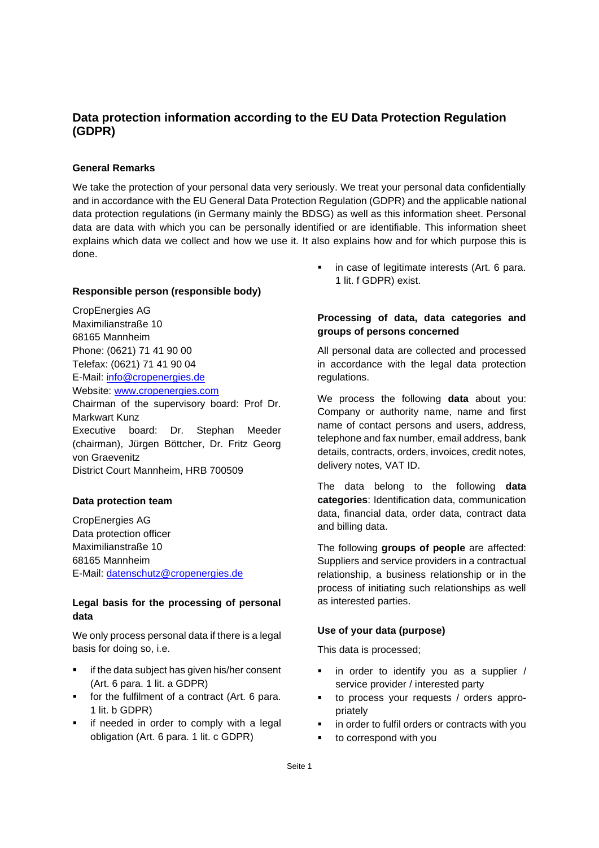# **Data protection information according to the EU Data Protection Regulation (GDPR)**

## **General Remarks**

We take the protection of your personal data very seriously. We treat your personal data confidentially and in accordance with the EU General Data Protection Regulation (GDPR) and the applicable national data protection regulations (in Germany mainly the BDSG) as well as this information sheet. Personal data are data with which you can be personally identified or are identifiable. This information sheet explains which data we collect and how we use it. It also explains how and for which purpose this is done.

## **Responsible person (responsible body)**

CropEnergies AG Maximilianstraße 10 68165 Mannheim Phone: (0621) 71 41 90 00 Telefax: (0621) 71 41 90 04 E-Mail: info@cropenergies.de Website: www.cropenergies.com

Chairman of the supervisory board: Prof Dr. Markwart Kunz Executive board: Dr. Stephan Meeder (chairman), Jürgen Böttcher, Dr. Fritz Georg von Graevenitz District Court Mannheim, HRB 700509

## **Data protection team**

CropEnergies AG Data protection officer Maximilianstraße 10 68165 Mannheim E-Mail: [datenschutz@cropenergies.de](mailto:datenschutz@cropenergies.de)

## **Legal basis for the processing of personal data**

We only process personal data if there is a legal basis for doing so, i.e.

- if the data subject has given his/her consent (Art. 6 para. 1 lit. a GDPR)
- for the fulfilment of a contract (Art. 6 para. 1 lit. b GDPR)
- if needed in order to comply with a legal obligation (Art. 6 para. 1 lit. c GDPR)

in case of legitimate interests (Art. 6 para. 1 lit. f GDPR) exist.

## **Processing of data, data categories and groups of persons concerned**

All personal data are collected and processed in accordance with the legal data protection regulations.

We process the following **data** about you: Company or authority name, name and first name of contact persons and users, address, telephone and fax number, email address, bank details, contracts, orders, invoices, credit notes, delivery notes, VAT ID.

The data belong to the following **data categories**: Identification data, communication data, financial data, order data, contract data and billing data.

The following **groups of people** are affected: Suppliers and service providers in a contractual relationship, a business relationship or in the process of initiating such relationships as well as interested parties.

## **Use of your data (purpose)**

This data is processed;

- in order to identify you as a supplier / service provider / interested party
- to process your requests / orders appropriately
- in order to fulfil orders or contracts with you
- to correspond with you